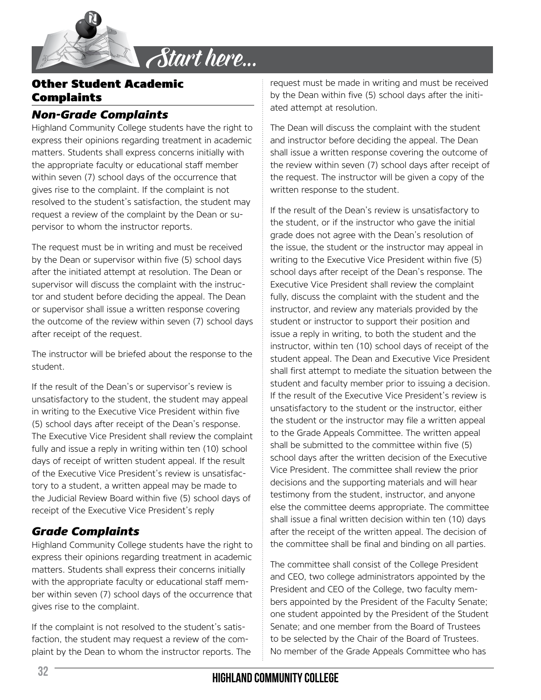

### Other Student Academic Complaints

### *Non-Grade Complaints*

Highland Community College students have the right to express their opinions regarding treatment in academic matters. Students shall express concerns initially with the appropriate faculty or educational staff member within seven (7) school days of the occurrence that gives rise to the complaint. If the complaint is not resolved to the student's satisfaction, the student may request a review of the complaint by the Dean or supervisor to whom the instructor reports.

The request must be in writing and must be received by the Dean or supervisor within five (5) school days after the initiated attempt at resolution. The Dean or supervisor will discuss the complaint with the instructor and student before deciding the appeal. The Dean or supervisor shall issue a written response covering the outcome of the review within seven (7) school days after receipt of the request.

The instructor will be briefed about the response to the student.

If the result of the Dean's or supervisor's review is unsatisfactory to the student, the student may appeal in writing to the Executive Vice President within five (5) school days after receipt of the Dean's response. The Executive Vice President shall review the complaint fully and issue a reply in writing within ten (10) school days of receipt of written student appeal. If the result of the Executive Vice President's review is unsatisfactory to a student, a written appeal may be made to the Judicial Review Board within five (5) school days of receipt of the Executive Vice President's reply

# *Grade Complaints*

Highland Community College students have the right to express their opinions regarding treatment in academic matters. Students shall express their concerns initially with the appropriate faculty or educational staff member within seven (7) school days of the occurrence that gives rise to the complaint.

If the complaint is not resolved to the student's satisfaction, the student may request a review of the complaint by the Dean to whom the instructor reports. The

request must be made in writing and must be received by the Dean within five (5) school days after the initiated attempt at resolution.

The Dean will discuss the complaint with the student and instructor before deciding the appeal. The Dean shall issue a written response covering the outcome of the review within seven (7) school days after receipt of the request. The instructor will be given a copy of the written response to the student.

If the result of the Dean's review is unsatisfactory to the student, or if the instructor who gave the initial grade does not agree with the Dean's resolution of the issue, the student or the instructor may appeal in writing to the Executive Vice President within five (5) school days after receipt of the Dean's response. The Executive Vice President shall review the complaint fully, discuss the complaint with the student and the instructor, and review any materials provided by the student or instructor to support their position and issue a reply in writing, to both the student and the instructor, within ten (10) school days of receipt of the student appeal. The Dean and Executive Vice President shall first attempt to mediate the situation between the student and faculty member prior to issuing a decision. If the result of the Executive Vice President's review is unsatisfactory to the student or the instructor, either the student or the instructor may file a written appeal to the Grade Appeals Committee. The written appeal shall be submitted to the committee within five (5) school days after the written decision of the Executive Vice President. The committee shall review the prior decisions and the supporting materials and will hear testimony from the student, instructor, and anyone else the committee deems appropriate. The committee shall issue a final written decision within ten (10) days after the receipt of the written appeal. The decision of the committee shall be final and binding on all parties.

The committee shall consist of the College President and CEO, two college administrators appointed by the President and CEO of the College, two faculty members appointed by the President of the Faculty Senate; one student appointed by the President of the Student Senate; and one member from the Board of Trustees to be selected by the Chair of the Board of Trustees. No member of the Grade Appeals Committee who has